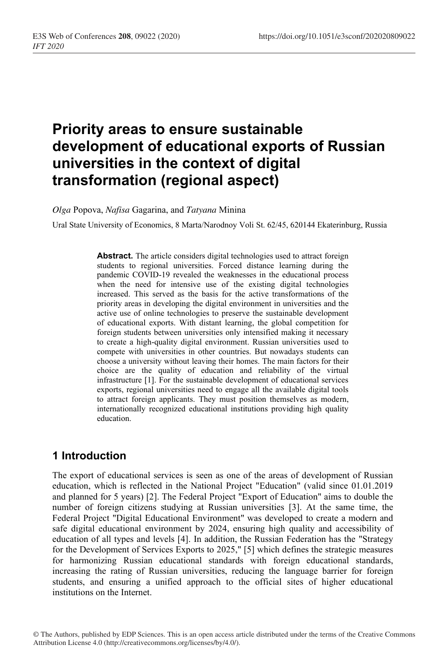# **Priority areas to ensure sustainable development of educational exports of Russian universities in the context of digital transformation (regional aspect)**

*Olga* Popova, *Nafisa* Gagarina, and *Tatyana* Minina

Ural State University of Economics, 8 Marta/Narodnoy Voli St. 62/45, 620144 Ekaterinburg, Russia

**Abstract.** The article considers digital technologies used to attract foreign students to regional universities. Forced distance learning during the pandemic COVID-19 revealed the weaknesses in the educational process when the need for intensive use of the existing digital technologies increased. This served as the basis for the active transformations of the priority areas in developing the digital environment in universities and the active use of online technologies to preserve the sustainable development of educational exports. With distant learning, the global competition for foreign students between universities only intensified making it necessary to create a high-quality digital environment. Russian universities used to compete with universities in other countries. But nowadays students can choose a university without leaving their homes. The main factors for their choice are the quality of education and reliability of the virtual infrastructure [1]. For the sustainable development of educational services exports, regional universities need to engage all the available digital tools to attract foreign applicants. They must position themselves as modern, internationally recognized educational institutions providing high quality education.

## **1 Introduction**

The export of educational services is seen as one of the areas of development of Russian education, which is reflected in the National Project "Education" (valid since 01.01.2019 and planned for 5 years) [2]. The Federal Project "Export of Education" aims to double the number of foreign citizens studying at Russian universities [3]. At the same time, the Federal Project "Digital Educational Environment" was developed to create a modern and safe digital educational environment by 2024, ensuring high quality and accessibility of education of all types and levels [4]. In addition, the Russian Federation has the "Strategy for the Development of Services Exports to 2025," [5] which defines the strategic measures for harmonizing Russian educational standards with foreign educational standards, increasing the rating of Russian universities, reducing the language barrier for foreign students, and ensuring a unified approach to the official sites of higher educational institutions on the Internet.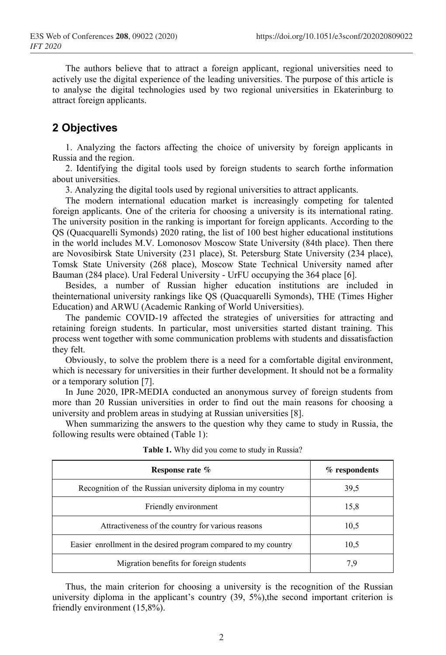The authors believe that to attract a foreign applicant, regional universities need to actively use the digital experience of the leading universities. The purpose of this article is to analyse the digital technologies used by two regional universities in Ekaterinburg to attract foreign applicants.

## **2 Objectives**

1. Analyzing the factors affecting the choice of university by foreign applicants in Russia and the region.

2. Identifying the digital tools used by foreign students to search forthe information about universities.

3. Analyzing the digital tools used by regional universities to attract applicants.

The modern international education market is increasingly competing for talented foreign applicants. One of the criteria for choosing a university is its international rating. The university position in the ranking is important for foreign applicants. According to the QS (Quacquarelli Symonds) 2020 rating, the list of 100 best higher educational institutions in the world includes M.V. Lomonosov Moscow State University (84th place). Then there are Novosibirsk State University (231 place), St. Petersburg State University (234 place), Tomsk State University (268 place), Moscow State Technical University named after Bauman (284 place). Ural Federal University - UrFU occupying the 364 place [6].

Besides, a number of Russian higher education institutions are included in theinternational university rankings like QS (Quacquarelli Symonds), THE (Times Higher Education) and ARWU (Academic Ranking of World Universities).

The pandemic COVID-19 affected the strategies of universities for attracting and retaining foreign students. In particular, most universities started distant training. This process went together with some communication problems with students and dissatisfaction they felt.

Obviously, to solve the problem there is a need for a comfortable digital environment, which is necessary for universities in their further development. It should not be a formality or a temporary solution [7].

In June 2020, IPR-MEDIA conducted an anonymous survey of foreign students from more than 20 Russian universities in order to find out the main reasons for choosing a university and problem areas in studying at Russian universities [8].

When summarizing the answers to the question why they came to study in Russia, the following results were obtained (Table 1):

| Response rate %                                                 | $%$ respondents |
|-----------------------------------------------------------------|-----------------|
| Recognition of the Russian university diploma in my country     | 39,5            |
| Friendly environment                                            | 15,8            |
| Attractiveness of the country for various reasons               | 10,5            |
| Easier enrollment in the desired program compared to my country | 10,5            |
| Migration benefits for foreign students                         |                 |

**Table 1.** Why did you come to study in Russia?

Thus, the main criterion for choosing a university is the recognition of the Russian university diploma in the applicant's country  $(39, 5\%)$ , the second important criterion is friendly environment (15,8%).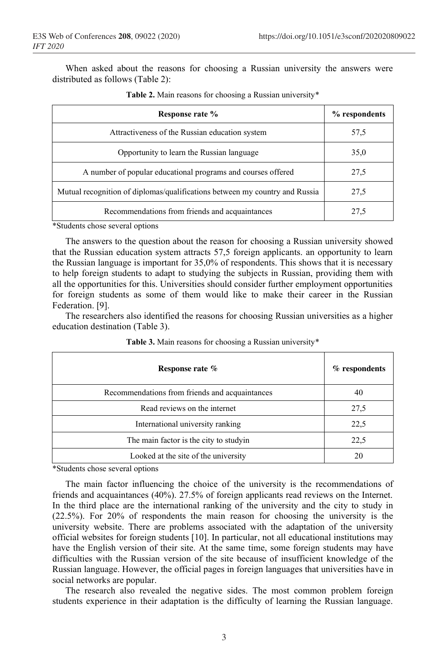When asked about the reasons for choosing a Russian university the answers were distributed as follows (Table 2):

| Response rate %                                                             | % respondents |
|-----------------------------------------------------------------------------|---------------|
| Attractiveness of the Russian education system                              | 57,5          |
| Opportunity to learn the Russian language                                   | 35,0          |
| A number of popular educational programs and courses offered                | 27,5          |
| Mutual recognition of diplomas/qualifications between my country and Russia | 27,5          |
| Recommendations from friends and acquaintances                              | 27,5          |

| Table 2. Main reasons for choosing a Russian university* |  |  |  |
|----------------------------------------------------------|--|--|--|
|----------------------------------------------------------|--|--|--|

\*Students chose several options

The answers to the question about the reason for choosing a Russian university showed that the Russian education system attracts 57,5 foreign applicants. an opportunity to learn the Russian language is important for 35,0% of respondents. This shows that it is necessary to help foreign students to adapt to studying the subjects in Russian, providing them with all the opportunities for this. Universities should consider further employment opportunities for foreign students as some of them would like to make their career in the Russian Federation. [9].

The researchers also identified the reasons for choosing Russian universities as a higher education destination (Table 3).

| Response rate %                                | $%$ respondents |
|------------------------------------------------|-----------------|
| Recommendations from friends and acquaintances | 40              |
| Read reviews on the internet                   | 27,5            |
| International university ranking               | 22,5            |
| The main factor is the city to studyin         | 22,5            |
| Looked at the site of the university           | 20              |

**Table 3.** Main reasons for choosing a Russian university\*

\*Students chose several options

The main factor influencing the choice of the university is the recommendations of friends and acquaintances (40%). 27.5% of foreign applicants read reviews on the Internet. In the third place are the international ranking of the university and the city to study in (22.5%). For 20% of respondents the main reason for choosing the university is the university website. There are problems associated with the adaptation of the university official websites for foreign students [10]. In particular, not all educational institutions may have the English version of their site. At the same time, some foreign students may have difficulties with the Russian version of the site because of insufficient knowledge of the Russian language. However, the official pages in foreign languages that universities have in social networks are popular.

The research also revealed the negative sides. The most common problem foreign students experience in their adaptation is the difficulty of learning the Russian language.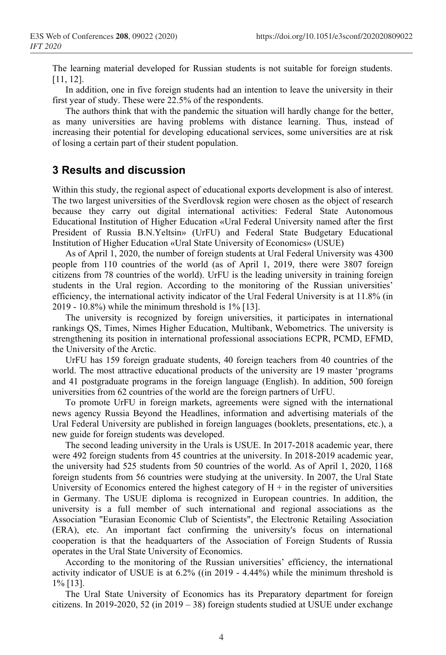The learning material developed for Russian students is not suitable for foreign students. [11, 12].

In addition, one in five foreign students had an intention to leave the university in their first year of study. These were 22.5% of the respondents.

The authors think that with the pandemic the situation will hardly change for the better, as many universities are having problems with distance learning. Thus, instead of increasing their potential for developing educational services, some universities are at risk of losing a certain part of their student population.

## **3 Results and discussion**

Within this study, the regional aspect of educational exports development is also of interest. The two largest universities of the Sverdlovsk region were chosen as the object of research because they carry out digital international activities: Federal State Autonomous Educational Institution of Higher Education «Ural Federal University named after the first President of Russia B.N.Yeltsin» (UrFU) and Federal State Budgetary Educational Institution of Higher Education «Ural State University of Economics» (USUE)

As of April 1, 2020, the number of foreign students at Ural Federal University was 4300 people from 110 countries of the world (as of April 1, 2019, there were 3807 foreign citizens from 78 countries of the world). UrFU is the leading university in training foreign students in the Ural region. According to the monitoring of the Russian universities' efficiency, the international activity indicator of the Ural Federal University is at 11.8% (in 2019 - 10.8%) while the minimum threshold is 1% [13].

The university is recognized by foreign universities, it participates in international rankings QS, Times, Nimes Higher Education, Multibank, Webometrics. The university is strengthening its position in international professional associations ECPR, PCMD, EFMD, the University of the Arctic.

UrFU has 159 foreign graduate students, 40 foreign teachers from 40 countries of the world. The most attractive educational products of the university are 19 master 'programs and 41 postgraduate programs in the foreign language (English). In addition, 500 foreign universities from 62 countries of the world are the foreign partners of UrFU.

To promote UrFU in foreign markets, agreements were signed with the international news agency Russia Beyond the Headlines, information and advertising materials of the Ural Federal University are published in foreign languages (booklets, presentations, etc.), a new guide for foreign students was developed.

The second leading university in the Urals is USUE. In 2017-2018 academic year, there were 492 foreign students from 45 countries at the university. In 2018-2019 academic year, the university had 525 students from 50 countries of the world. As of April 1, 2020, 1168 foreign students from 56 countries were studying at the university. In 2007, the Ural State University of Economics entered the highest category of  $H + in$  the register of universities in Germany. The USUE diploma is recognized in European countries. In addition, the university is a full member of such international and regional associations as the Association "Eurasian Economic Club of Scientists", the Electronic Retailing Association (ERA), etc. An important fact confirming the university's focus on international cooperation is that the headquarters of the Association of Foreign Students of Russia operates in the Ural State University of Economics.

According to the monitoring of the Russian universities' efficiency, the international activity indicator of USUE is at 6.2% ((in 2019 - 4.44%) while the minimum threshold is 1% [13].

The Ural State University of Economics has its Preparatory department for foreign citizens. In 2019-2020, 52 (in 2019 – 38) foreign students studied at USUE under exchange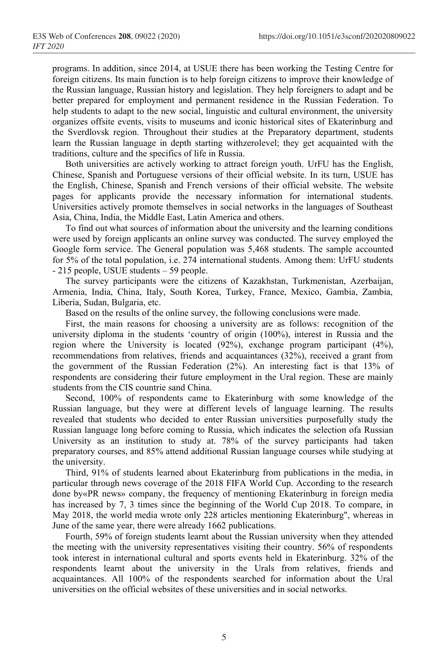programs. In addition, since 2014, at USUE there has been working the Testing Centre for foreign citizens. Its main function is to help foreign citizens to improve their knowledge of the Russian language, Russian history and legislation. They help foreigners to adapt and be better prepared for employment and permanent residence in the Russian Federation. To help students to adapt to the new social, linguistic and cultural environment, the university organizes offsite events, visits to museums and iconic historical sites of Ekaterinburg and the Sverdlovsk region. Throughout their studies at the Preparatory department, students learn the Russian language in depth starting withzerolevel; they get acquainted with the traditions, culture and the specifics of life in Russia.

Both universities are actively working to attract foreign youth. UrFU has the English, Chinese, Spanish and Portuguese versions of their official website. In its turn, USUE has the English, Chinese, Spanish and French versions of their official website. The website pages for applicants provide the necessary information for international students. Universities actively promote themselves in social networks in the languages of Southeast Asia, China, India, the Middle East, Latin America and others.

To find out what sources of information about the university and the learning conditions were used by foreign applicants an online survey was conducted. The survey employed the Google form service. The General population was 5,468 students. The sample accounted for 5% of the total population, i.e. 274 international students. Among them: UrFU students - 215 people, USUE students – 59 people.

The survey participants were the citizens of Kazakhstan, Turkmenistan, Azerbaijan, Armenia, India, China, Italy, South Korea, Turkey, France, Mexico, Gambia, Zambia, Liberia, Sudan, Bulgaria, etc.

Based on the results of the online survey, the following conclusions were made.

First, the main reasons for choosing a university are as follows: recognition of the university diploma in the students 'country of origin (100%), interest in Russia and the region where the University is located  $(92\%)$ , exchange program participant  $(4\%)$ , recommendations from relatives, friends and acquaintances (32%), received a grant from the government of the Russian Federation (2%). An interesting fact is that 13% of respondents are considering their future employment in the Ural region. These are mainly students from the CIS countrie sand China.

Second, 100% of respondents came to Ekaterinburg with some knowledge of the Russian language, but they were at different levels of language learning. The results revealed that students who decided to enter Russian universities purposefully study the Russian language long before coming to Russia, which indicates the selection ofa Russian University as an institution to study at. 78% of the survey participants had taken preparatory courses, and 85% attend additional Russian language courses while studying at the university.

Third, 91% of students learned about Ekaterinburg from publications in the media, in particular through news coverage of the 2018 FIFA World Cup. According to the research done by«PR news» company, the frequency of mentioning Ekaterinburg in foreign media has increased by 7, 3 times since the beginning of the World Cup 2018. To compare, in May 2018, the world media wrote only 228 articles mentioning Ekaterinburg", whereas in June of the same year, there were already 1662 publications.

Fourth, 59% of foreign students learnt about the Russian university when they attended the meeting with the university representatives visiting their country. 56% of respondents took interest in international cultural and sports events held in Ekaterinburg. 32% of the respondents learnt about the university in the Urals from relatives, friends and acquaintances. All 100% of the respondents searched for information about the Ural universities on the official websites of these universities and in social networks.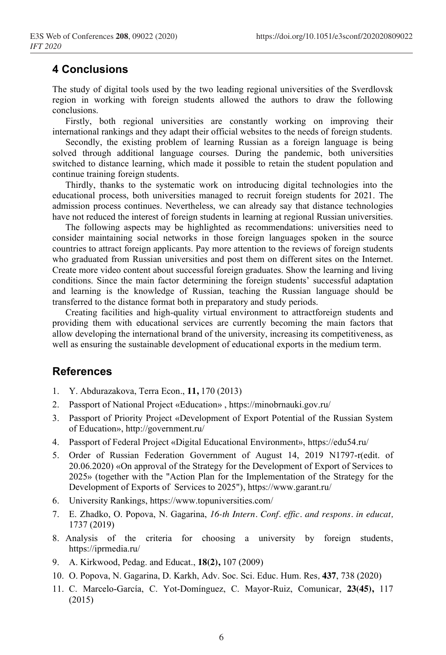## **4 Conclusions**

The study of digital tools used by the two leading regional universities of the Sverdlovsk region in working with foreign students allowed the authors to draw the following conclusions.

Firstly, both regional universities are constantly working on improving their international rankings and they adapt their official websites to the needs of foreign students.

Secondly, the existing problem of learning Russian as a foreign language is being solved through additional language courses. During the pandemic, both universities switched to distance learning, which made it possible to retain the student population and continue training foreign students.

Thirdly, thanks to the systematic work on introducing digital technologies into the educational process, both universities managed to recruit foreign students for 2021. The admission process continues. Nevertheless, we can already say that distance technologies have not reduced the interest of foreign students in learning at regional Russian universities.

The following aspects may be highlighted as recommendations: universities need to consider maintaining social networks in those foreign languages spoken in the source countries to attract foreign applicants. Pay more attention to the reviews of foreign students who graduated from Russian universities and post them on different sites on the Internet. Create more video content about successful foreign graduates. Show the learning and living conditions. Since the main factor determining the foreign students' successful adaptation and learning is the knowledge of Russian, teaching the Russian language should be transferred to the distance format both in preparatory and study periods.

Creating facilities and high-quality virtual environment to attractforeign students and providing them with educational services are currently becoming the main factors that allow developing the international brand of the university, increasing its competitiveness, as well as ensuring the sustainable development of educational exports in the medium term.

## **References**

- 1. Y. Abdurazakova, Terra Econ., **11,** 170 (2013)
- 2. Passport of National Project «Education» , https://minobrnauki.gov.ru/
- 3. Passport of Priority Project «Development of Export Potential of the Russian System of Education», http://government.ru/
- 4. Passport of Federal Project «Digital Educational Environment», https://edu54.ru/
- 5. Order of Russian Federation Government of August 14, 2019 N1797-r(edit. of 20.06.2020) «On approval of the Strategy for the Development of Export of Services to 2025» (together with the "Action Plan for the Implementation of the Strategy for the Development of Exports of Services to 2025"), https://www.garant.ru/
- 6. University Rankings, https://www.topuniversities.com/
- 7. E. Zhadko, O. Popova, N. Gagarina, *16-th Intern. Conf. effic. and respons. in educat,* 1737 (2019)
- 8. Analysis of the criteria for choosing a university by foreign students, https://iprmedia.ru/
- 9. А. Kirkwood, Pedag. and Educat., **18(2),** 107 (2009)
- 10. O. Popova, N. Gagarina, D. Karkh, Adv. Soc. Sci. Educ. Hum. Res*,* **437**, 738 (2020)
- 11. C. Marcelo-García, C. Yot-Domínguez, C. Mayor-Ruiz, Comunicar, **23(45),** 117 (2015)